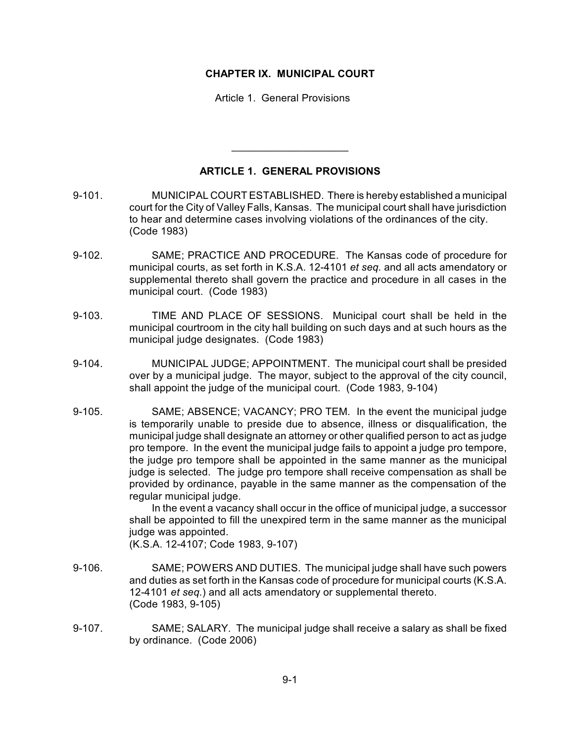## **CHAPTER IX. MUNICIPAL COURT**

Article 1. General Provisions

## **ARTICLE 1. GENERAL PROVISIONS**

 $\overline{\phantom{a}}$  , where  $\overline{\phantom{a}}$  , where  $\overline{\phantom{a}}$  , where  $\overline{\phantom{a}}$ 

- 9-101. MUNICIPAL COURT ESTABLISHED. There is hereby established a municipal court for the City of Valley Falls, Kansas. The municipal court shall have jurisdiction to hear and determine cases involving violations of the ordinances of the city. (Code 1983)
- 9-102. SAME; PRACTICE AND PROCEDURE. The Kansas code of procedure for municipal courts, as set forth in K.S.A. 12-4101 *et seq.* and all acts amendatory or supplemental thereto shall govern the practice and procedure in all cases in the municipal court. (Code 1983)
- 9-103. TIME AND PLACE OF SESSIONS. Municipal court shall be held in the municipal courtroom in the city hall building on such days and at such hours as the municipal judge designates. (Code 1983)
- 9-104. MUNICIPAL JUDGE; APPOINTMENT. The municipal court shall be presided over by a municipal judge. The mayor, subject to the approval of the city council, shall appoint the judge of the municipal court. (Code 1983, 9-104)
- 9-105. SAME; ABSENCE; VACANCY; PRO TEM. In the event the municipal judge is temporarily unable to preside due to absence, illness or disqualification, the municipal judge shall designate an attorney or other qualified person to act as judge pro tempore. In the event the municipal judge fails to appoint a judge pro tempore, the judge pro tempore shall be appointed in the same manner as the municipal judge is selected. The judge pro tempore shall receive compensation as shall be provided by ordinance, payable in the same manner as the compensation of the regular municipal judge.

In the event a vacancy shall occur in the office of municipal judge, a successor shall be appointed to fill the unexpired term in the same manner as the municipal judge was appointed.

(K.S.A. 12-4107; Code 1983, 9-107)

- 9-106. SAME; POWERS AND DUTIES. The municipal judge shall have such powers and duties as set forth in the Kansas code of procedure for municipal courts (K.S.A. 12-4101 *et seq.*) and all acts amendatory or supplemental thereto. (Code 1983, 9-105)
- 9-107. SAME; SALARY. The municipal judge shall receive a salary as shall be fixed by ordinance. (Code 2006)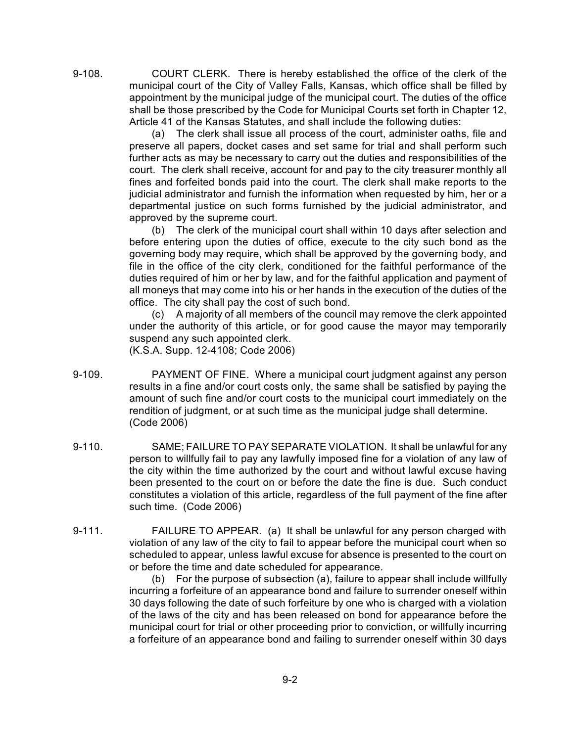9-108. COURT CLERK. There is hereby established the office of the clerk of the municipal court of the City of Valley Falls, Kansas, which office shall be filled by appointment by the municipal judge of the municipal court. The duties of the office shall be those prescribed by the Code for Municipal Courts set forth in Chapter 12, Article 41 of the Kansas Statutes, and shall include the following duties:

> (a) The clerk shall issue all process of the court, administer oaths, file and preserve all papers, docket cases and set same for trial and shall perform such further acts as may be necessary to carry out the duties and responsibilities of the court. The clerk shall receive, account for and pay to the city treasurer monthly all fines and forfeited bonds paid into the court. The clerk shall make reports to the judicial administrator and furnish the information when requested by him, her or a departmental justice on such forms furnished by the judicial administrator, and approved by the supreme court.

> (b) The clerk of the municipal court shall within 10 days after selection and before entering upon the duties of office, execute to the city such bond as the governing body may require, which shall be approved by the governing body, and file in the office of the city clerk, conditioned for the faithful performance of the duties required of him or her by law, and for the faithful application and payment of all moneys that may come into his or her hands in the execution of the duties of the office. The city shall pay the cost of such bond.

> (c) A majority of all members of the council may remove the clerk appointed under the authority of this article, or for good cause the mayor may temporarily suspend any such appointed clerk.

(K.S.A. Supp. 12-4108; Code 2006)

- 9-109. PAYMENT OF FINE. Where a municipal court judgment against any person results in a fine and/or court costs only, the same shall be satisfied by paying the amount of such fine and/or court costs to the municipal court immediately on the rendition of judgment, or at such time as the municipal judge shall determine. (Code 2006)
- 9-110. SAME; FAILURE TO PAY SEPARATE VIOLATION. It shall be unlawful for any person to willfully fail to pay any lawfully imposed fine for a violation of any law of the city within the time authorized by the court and without lawful excuse having been presented to the court on or before the date the fine is due. Such conduct constitutes a violation of this article, regardless of the full payment of the fine after such time. (Code 2006)
- 9-111. FAILURE TO APPEAR. (a) It shall be unlawful for any person charged with violation of any law of the city to fail to appear before the municipal court when so scheduled to appear, unless lawful excuse for absence is presented to the court on or before the time and date scheduled for appearance.

(b) For the purpose of subsection (a), failure to appear shall include willfully incurring a forfeiture of an appearance bond and failure to surrender oneself within 30 days following the date of such forfeiture by one who is charged with a violation of the laws of the city and has been released on bond for appearance before the municipal court for trial or other proceeding prior to conviction, or willfully incurring a forfeiture of an appearance bond and failing to surrender oneself within 30 days